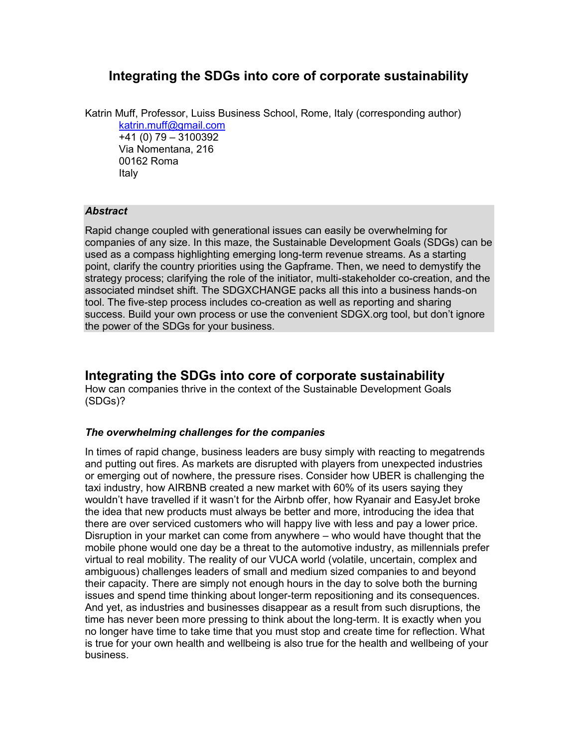# **Integrating the SDGs into core of corporate sustainability**

Katrin Muff, Professor, Luiss Business School, Rome, Italy (corresponding author) [katrin.muff@gmail.com](mailto:katrin.muff@gmail.com) +41 (0) 79 – 3100392 Via Nomentana, 216

00162 Roma Italy

## *Abstract*

Rapid change coupled with generational issues can easily be overwhelming for companies of any size. In this maze, the Sustainable Development Goals (SDGs) can be used as a compass highlighting emerging long-term revenue streams. As a starting point, clarify the country priorities using the Gapframe. Then, we need to demystify the strategy process; clarifying the role of the initiator, multi-stakeholder co-creation, and the associated mindset shift. The SDGXCHANGE packs all this into a business hands-on tool. The five-step process includes co-creation as well as reporting and sharing success. Build your own process or use the convenient SDGX.org tool, but don't ignore the power of the SDGs for your business.

# **Integrating the SDGs into core of corporate sustainability**

How can companies thrive in the context of the Sustainable Development Goals (SDGs)?

## *The overwhelming challenges for the companies*

In times of rapid change, business leaders are busy simply with reacting to megatrends and putting out fires. As markets are disrupted with players from unexpected industries or emerging out of nowhere, the pressure rises. Consider how UBER is challenging the taxi industry, how AIRBNB created a new market with 60% of its users saying they wouldn't have travelled if it wasn't for the Airbnb offer, how Ryanair and EasyJet broke the idea that new products must always be better and more, introducing the idea that there are over serviced customers who will happy live with less and pay a lower price. Disruption in your market can come from anywhere – who would have thought that the mobile phone would one day be a threat to the automotive industry, as millennials prefer virtual to real mobility. The reality of our VUCA world (volatile, uncertain, complex and ambiguous) challenges leaders of small and medium sized companies to and beyond their capacity. There are simply not enough hours in the day to solve both the burning issues and spend time thinking about longer-term repositioning and its consequences. And yet, as industries and businesses disappear as a result from such disruptions, the time has never been more pressing to think about the long-term. It is exactly when you no longer have time to take time that you must stop and create time for reflection. What is true for your own health and wellbeing is also true for the health and wellbeing of your business.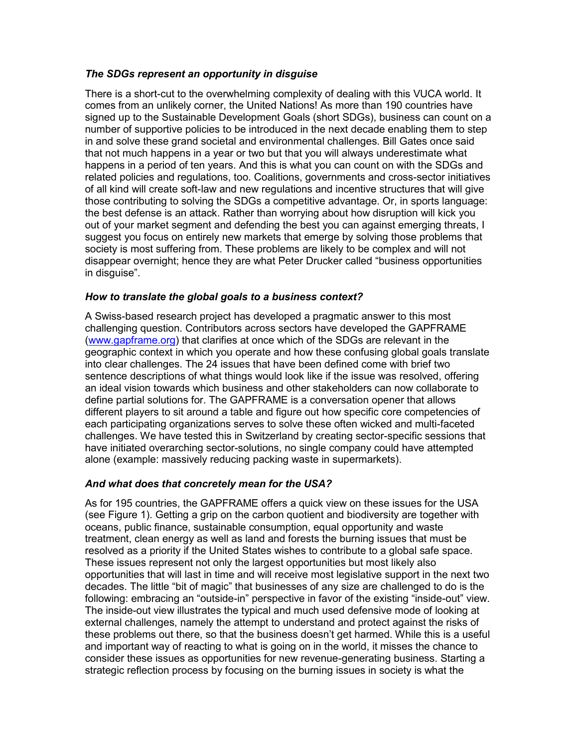## *The SDGs represent an opportunity in disguise*

There is a short-cut to the overwhelming complexity of dealing with this VUCA world. It comes from an unlikely corner, the United Nations! As more than 190 countries have signed up to the Sustainable Development Goals (short SDGs), business can count on a number of supportive policies to be introduced in the next decade enabling them to step in and solve these grand societal and environmental challenges. Bill Gates once said that not much happens in a year or two but that you will always underestimate what happens in a period of ten years. And this is what you can count on with the SDGs and related policies and regulations, too. Coalitions, governments and cross-sector initiatives of all kind will create soft-law and new regulations and incentive structures that will give those contributing to solving the SDGs a competitive advantage. Or, in sports language: the best defense is an attack. Rather than worrying about how disruption will kick you out of your market segment and defending the best you can against emerging threats, I suggest you focus on entirely new markets that emerge by solving those problems that society is most suffering from. These problems are likely to be complex and will not disappear overnight; hence they are what Peter Drucker called "business opportunities in disguise".

## *How to translate the global goals to a business context?*

A Swiss-based research project has developed a pragmatic answer to this most challenging question. Contributors across sectors have developed the GAPFRAME [\(www.gapframe.org\)](http://www.gapframe.org/) that clarifies at once which of the SDGs are relevant in the geographic context in which you operate and how these confusing global goals translate into clear challenges. The 24 issues that have been defined come with brief two sentence descriptions of what things would look like if the issue was resolved, offering an ideal vision towards which business and other stakeholders can now collaborate to define partial solutions for. The GAPFRAME is a conversation opener that allows different players to sit around a table and figure out how specific core competencies of each participating organizations serves to solve these often wicked and multi-faceted challenges. We have tested this in Switzerland by creating sector-specific sessions that have initiated overarching sector-solutions, no single company could have attempted alone (example: massively reducing packing waste in supermarkets).

# *And what does that concretely mean for the USA?*

As for 195 countries, the GAPFRAME offers a quick view on these issues for the USA (see Figure 1). Getting a grip on the carbon quotient and biodiversity are together with oceans, public finance, sustainable consumption, equal opportunity and waste treatment, clean energy as well as land and forests the burning issues that must be resolved as a priority if the United States wishes to contribute to a global safe space. These issues represent not only the largest opportunities but most likely also opportunities that will last in time and will receive most legislative support in the next two decades. The little "bit of magic" that businesses of any size are challenged to do is the following: embracing an "outside-in" perspective in favor of the existing "inside-out" view. The inside-out view illustrates the typical and much used defensive mode of looking at external challenges, namely the attempt to understand and protect against the risks of these problems out there, so that the business doesn't get harmed. While this is a useful and important way of reacting to what is going on in the world, it misses the chance to consider these issues as opportunities for new revenue-generating business. Starting a strategic reflection process by focusing on the burning issues in society is what the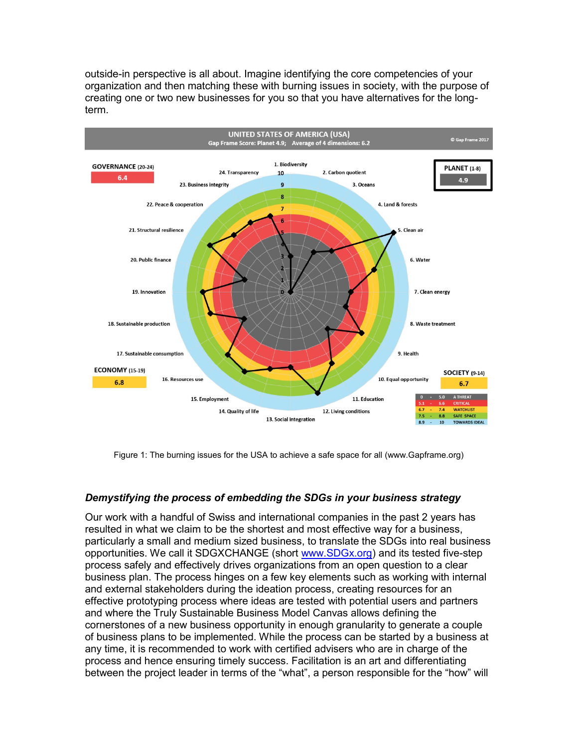outside-in perspective is all about. Imagine identifying the core competencies of your organization and then matching these with burning issues in society, with the purpose of creating one or two new businesses for you so that you have alternatives for the longterm.



Figure 1: The burning issues for the USA to achieve a safe space for all (www.Gapframe.org)

## *Demystifying the process of embedding the SDGs in your business strategy*

Our work with a handful of Swiss and international companies in the past 2 years has resulted in what we claim to be the shortest and most effective way for a business, particularly a small and medium sized business, to translate the SDGs into real business opportunities. We call it SDGXCHANGE (short [www.SDGx.org\)](http://www.sdgx.org/) and its tested five-step process safely and effectively drives organizations from an open question to a clear business plan. The process hinges on a few key elements such as working with internal and external stakeholders during the ideation process, creating resources for an effective prototyping process where ideas are tested with potential users and partners and where the Truly Sustainable Business Model Canvas allows defining the cornerstones of a new business opportunity in enough granularity to generate a couple of business plans to be implemented. While the process can be started by a business at any time, it is recommended to work with certified advisers who are in charge of the process and hence ensuring timely success. Facilitation is an art and differentiating between the project leader in terms of the "what", a person responsible for the "how" will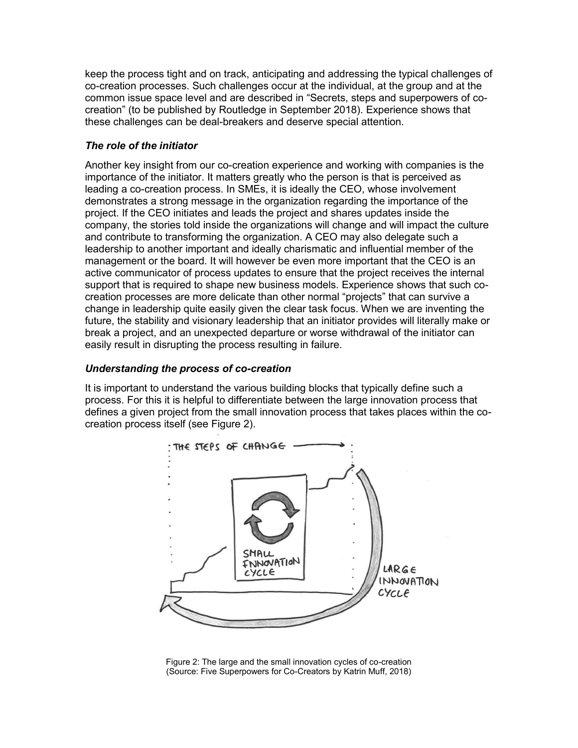keep the process tight and on track, anticipating and addressing the typical challenges of co-creation processes. Such challenges occur at the individual, at the group and at the common issue space level and are described in "Secrets, steps and superpowers of cocreation" (to be published by Routledge in September 2018). Experience shows that these challenges can be deal-breakers and deserve special attention.

# *The role of the initiator*

Another key insight from our co-creation experience and working with companies is the importance of the initiator. It matters greatly who the person is that is perceived as leading a co-creation process. In SMEs, it is ideally the CEO, whose involvement demonstrates a strong message in the organization regarding the importance of the project. If the CEO initiates and leads the project and shares updates inside the company, the stories told inside the organizations will change and will impact the culture and contribute to transforming the organization. A CEO may also delegate such a leadership to another important and ideally charismatic and influential member of the management or the board. It will however be even more important that the CEO is an active communicator of process updates to ensure that the project receives the internal support that is required to shape new business models. Experience shows that such cocreation processes are more delicate than other normal "projects" that can survive a change in leadership quite easily given the clear task focus. When we are inventing the future, the stability and visionary leadership that an initiator provides will literally make or break a project, and an unexpected departure or worse withdrawal of the initiator can easily result in disrupting the process resulting in failure.

# *Understanding the process of co-creation*

It is important to understand the various building blocks that typically define such a process. For this it is helpful to differentiate between the large innovation process that defines a given project from the small innovation process that takes places within the cocreation process itself (see Figure 2).



Figure 2: The large and the small innovation cycles of co-creation (Source: Five Superpowers for Co-Creators by Katrin Muff, 2018)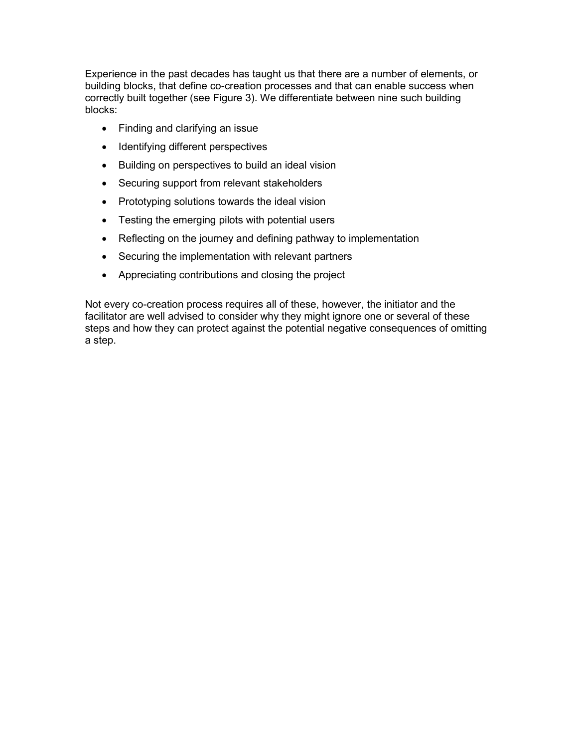Experience in the past decades has taught us that there are a number of elements, or building blocks, that define co-creation processes and that can enable success when correctly built together (see Figure 3). We differentiate between nine such building blocks:

- Finding and clarifying an issue
- Identifying different perspectives
- Building on perspectives to build an ideal vision
- Securing support from relevant stakeholders
- Prototyping solutions towards the ideal vision
- Testing the emerging pilots with potential users
- Reflecting on the journey and defining pathway to implementation
- Securing the implementation with relevant partners
- Appreciating contributions and closing the project

Not every co-creation process requires all of these, however, the initiator and the facilitator are well advised to consider why they might ignore one or several of these steps and how they can protect against the potential negative consequences of omitting a step.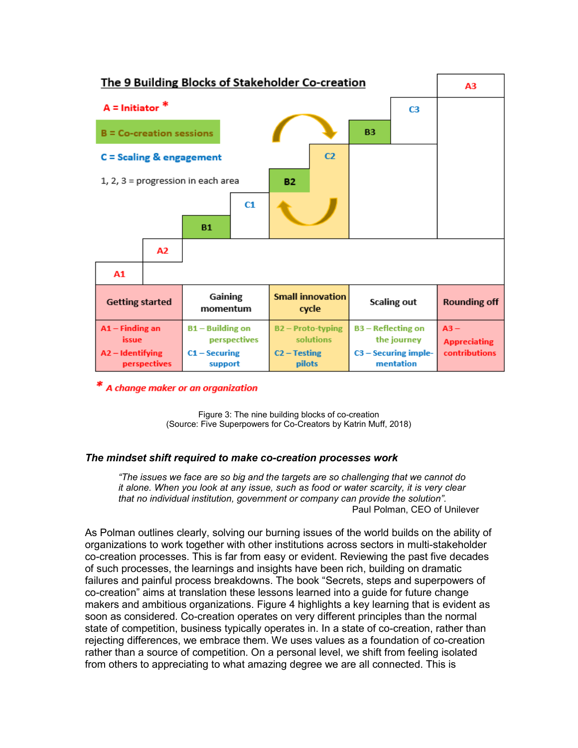

\* A change maker or an organization

Figure 3: The nine building blocks of co-creation (Source: Five Superpowers for Co-Creators by Katrin Muff, 2018)

#### *The mindset shift required to make co-creation processes work*

*"The issues we face are so big and the targets are so challenging that we cannot do it alone. When you look at any issue, such as food or water scarcity, it is very clear that no individual institution, government or company can provide the solution".*  Paul Polman, CEO of Unilever

As Polman outlines clearly, solving our burning issues of the world builds on the ability of organizations to work together with other institutions across sectors in multi-stakeholder co-creation processes. This is far from easy or evident. Reviewing the past five decades of such processes, the learnings and insights have been rich, building on dramatic failures and painful process breakdowns. The book "Secrets, steps and superpowers of co-creation" aims at translation these lessons learned into a guide for future change makers and ambitious organizations. Figure 4 highlights a key learning that is evident as soon as considered. Co-creation operates on very different principles than the normal state of competition, business typically operates in. In a state of co-creation, rather than rejecting differences, we embrace them. We uses values as a foundation of co-creation rather than a source of competition. On a personal level, we shift from feeling isolated from others to appreciating to what amazing degree we are all connected. This is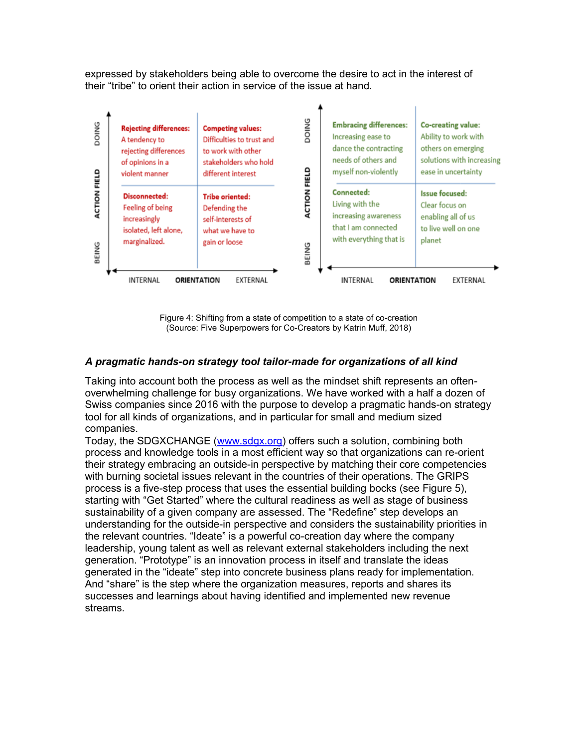expressed by stakeholders being able to overcome the desire to act in the interest of their "tribe" to orient their action in service of the issue at hand.



Figure 4: Shifting from a state of competition to a state of co-creation (Source: Five Superpowers for Co-Creators by Katrin Muff, 2018)

# *A pragmatic hands-on strategy tool tailor-made for organizations of all kind*

Taking into account both the process as well as the mindset shift represents an oftenoverwhelming challenge for busy organizations. We have worked with a half a dozen of Swiss companies since 2016 with the purpose to develop a pragmatic hands-on strategy tool for all kinds of organizations, and in particular for small and medium sized companies.

Today, the SDGXCHANGE [\(www.sdgx.org\)](http://www.sdgx.org/) offers such a solution, combining both process and knowledge tools in a most efficient way so that organizations can re-orient their strategy embracing an outside-in perspective by matching their core competencies with burning societal issues relevant in the countries of their operations. The GRIPS process is a five-step process that uses the essential building bocks (see Figure 5), starting with "Get Started" where the cultural readiness as well as stage of business sustainability of a given company are assessed. The "Redefine" step develops an understanding for the outside-in perspective and considers the sustainability priorities in the relevant countries. "Ideate" is a powerful co-creation day where the company leadership, young talent as well as relevant external stakeholders including the next generation. "Prototype" is an innovation process in itself and translate the ideas generated in the "ideate" step into concrete business plans ready for implementation. And "share" is the step where the organization measures, reports and shares its successes and learnings about having identified and implemented new revenue streams.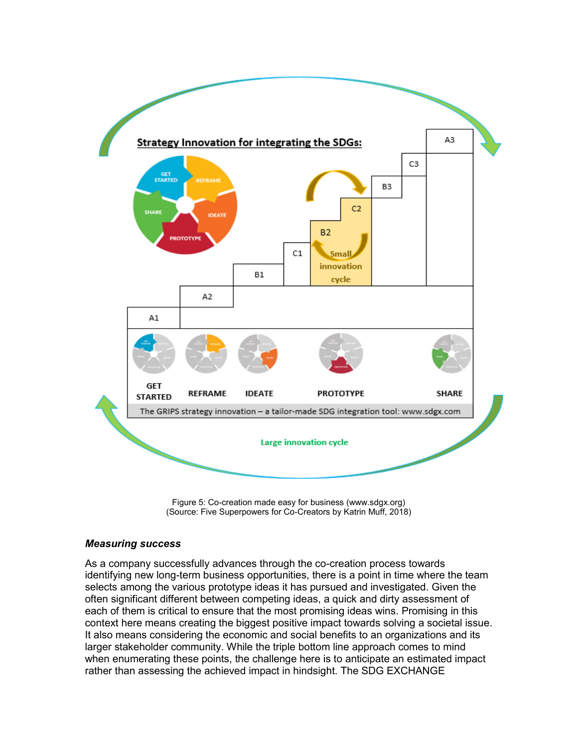

Figure 5: Co-creation made easy for business (www.sdgx.org) (Source: Five Superpowers for Co-Creators by Katrin Muff, 2018)

#### *Measuring success*

As a company successfully advances through the co-creation process towards identifying new long-term business opportunities, there is a point in time where the team selects among the various prototype ideas it has pursued and investigated. Given the often significant different between competing ideas, a quick and dirty assessment of each of them is critical to ensure that the most promising ideas wins. Promising in this context here means creating the biggest positive impact towards solving a societal issue. It also means considering the economic and social benefits to an organizations and its larger stakeholder community. While the triple bottom line approach comes to mind when enumerating these points, the challenge here is to anticipate an estimated impact rather than assessing the achieved impact in hindsight. The SDG EXCHANGE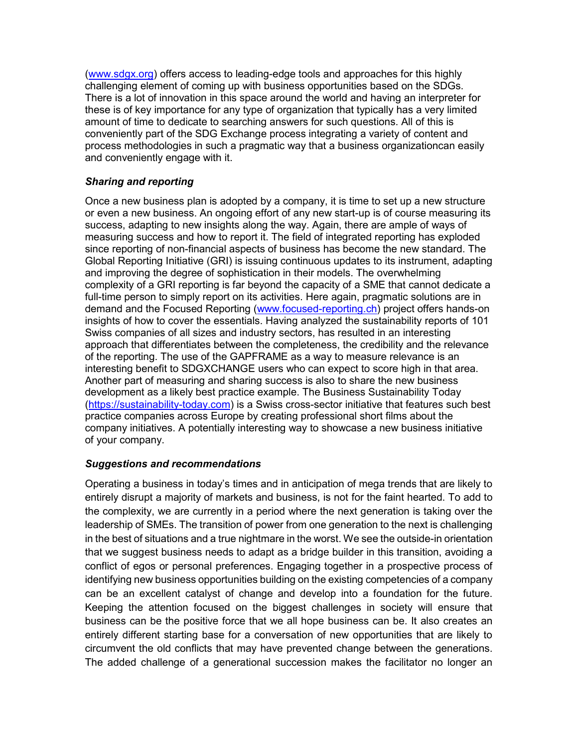[\(www.sdgx.org\)](http://www.sdgx.org/) offers access to leading-edge tools and approaches for this highly challenging element of coming up with business opportunities based on the SDGs. There is a lot of innovation in this space around the world and having an interpreter for these is of key importance for any type of organization that typically has a very limited amount of time to dedicate to searching answers for such questions. All of this is conveniently part of the SDG Exchange process integrating a variety of content and process methodologies in such a pragmatic way that a business organizationcan easily and conveniently engage with it.

# *Sharing and reporting*

Once a new business plan is adopted by a company, it is time to set up a new structure or even a new business. An ongoing effort of any new start-up is of course measuring its success, adapting to new insights along the way. Again, there are ample of ways of measuring success and how to report it. The field of integrated reporting has exploded since reporting of non-financial aspects of business has become the new standard. The Global Reporting Initiative (GRI) is issuing continuous updates to its instrument, adapting and improving the degree of sophistication in their models. The overwhelming complexity of a GRI reporting is far beyond the capacity of a SME that cannot dedicate a full-time person to simply report on its activities. Here again, pragmatic solutions are in demand and the Focused Reporting [\(www.focused-reporting.ch\)](http://www.focused-reporting.ch/) project offers hands-on insights of how to cover the essentials. Having analyzed the sustainability reports of 101 Swiss companies of all sizes and industry sectors, has resulted in an interesting approach that differentiates between the completeness, the credibility and the relevance of the reporting. The use of the GAPFRAME as a way to measure relevance is an interesting benefit to SDGXCHANGE users who can expect to score high in that area. Another part of measuring and sharing success is also to share the new business development as a likely best practice example. The Business Sustainability Today [\(https://sustainability-today.com\)](https://sustainability-today.com/) is a Swiss cross-sector initiative that features such best practice companies across Europe by creating professional short films about the company initiatives. A potentially interesting way to showcase a new business initiative of your company.

## *Suggestions and recommendations*

Operating a business in today's times and in anticipation of mega trends that are likely to entirely disrupt a majority of markets and business, is not for the faint hearted. To add to the complexity, we are currently in a period where the next generation is taking over the leadership of SMEs. The transition of power from one generation to the next is challenging in the best of situations and a true nightmare in the worst. We see the outside-in orientation that we suggest business needs to adapt as a bridge builder in this transition, avoiding a conflict of egos or personal preferences. Engaging together in a prospective process of identifying new business opportunities building on the existing competencies of a company can be an excellent catalyst of change and develop into a foundation for the future. Keeping the attention focused on the biggest challenges in society will ensure that business can be the positive force that we all hope business can be. It also creates an entirely different starting base for a conversation of new opportunities that are likely to circumvent the old conflicts that may have prevented change between the generations. The added challenge of a generational succession makes the facilitator no longer an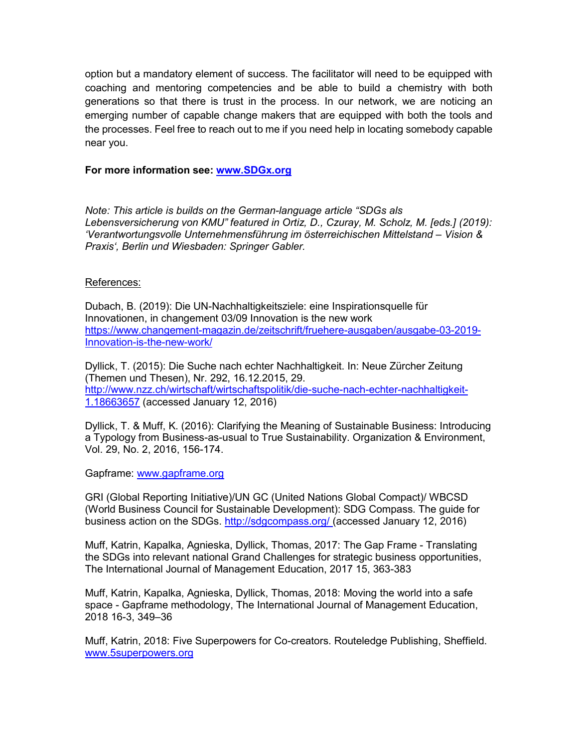option but a mandatory element of success. The facilitator will need to be equipped with coaching and mentoring competencies and be able to build a chemistry with both generations so that there is trust in the process. In our network, we are noticing an emerging number of capable change makers that are equipped with both the tools and the processes. Feel free to reach out to me if you need help in locating somebody capable near you.

# **For more information see: [www.SDGx.org](http://www.sdgx.org/)**

*Note: This article is builds on the German-language article "SDGs als*  Lebensversicherung von KMU" featured in Ortiz, D., Czuray, M. Scholz, M. [eds.] (2019): *'Verantwortungsvolle Unternehmensführung im österreichischen Mittelstand – Vision & Praxis', Berlin und Wiesbaden: Springer Gabler.*

#### References:

Dubach, B. (2019): Die UN-Nachhaltigkeitsziele: eine Inspirationsquelle für Innovationen, in changement 03/09 Innovation is the new work [https://www.changement-magazin.de/zeitschrift/fruehere-ausgaben/ausgabe-03-2019-](https://www.changement-magazin.de/zeitschrift/fruehere-ausgaben/ausgabe-03-2019-Innovation-is-the-new-work/) [Innovation-is-the-new-work/](https://www.changement-magazin.de/zeitschrift/fruehere-ausgaben/ausgabe-03-2019-Innovation-is-the-new-work/)

Dyllick, T. (2015): Die Suche nach echter Nachhaltigkeit. In: Neue Zürcher Zeitung (Themen und Thesen), Nr. 292, 16.12.2015, 29. [http://www.nzz.ch/wirtschaft/wirtschaftspolitik/die-suche-nach-echter-nachhaltigkeit-](http://www.nzz.ch/wirtschaft/wirtschaftspolitik/die-suche-nach-echter-nachhaltigkeit-1.18663657)[1.18663657](http://www.nzz.ch/wirtschaft/wirtschaftspolitik/die-suche-nach-echter-nachhaltigkeit-1.18663657) (accessed January 12, 2016)

Dyllick, T. & Muff, K. (2016): Clarifying the Meaning of Sustainable Business: Introducing a Typology from Business-as-usual to True Sustainability. Organization & Environment, Vol. 29, No. 2, 2016, 156-174.

Gapframe: [www.gapframe.org](http://www.gapframe.org/)

GRI (Global Reporting Initiative)/UN GC (United Nations Global Compact)/ WBCSD (World Business Council for Sustainable Development): SDG Compass. The guide for business action on the SDGs.<http://sdgcompass.org/> (accessed January 12, 2016)

Muff, Katrin, Kapalka, Agnieska, Dyllick, Thomas, 2017: The Gap Frame - Translating the SDGs into relevant national Grand Challenges for strategic business opportunities, The International Journal of Management Education, 2017 15, 363-383

Muff, Katrin, Kapalka, Agnieska, Dyllick, Thomas, 2018: Moving the world into a safe space - Gapframe methodology, The International Journal of Management Education, 2018 16-3, 349–36

Muff, Katrin, 2018: Five Superpowers for Co-creators. Routeledge Publishing, Sheffield. [www.5superpowers.org](http://www.5superpowers.org/)